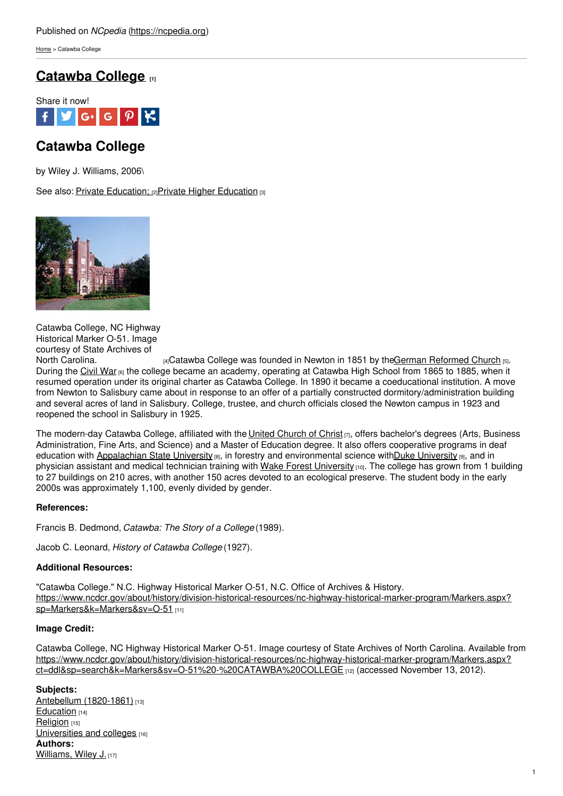[Home](https://ncpedia.org/) > Catawba College

## **[Catawba](https://ncpedia.org/catawba-college) College [1]**



# **Catawba College**

by Wiley J. Williams, 2006\

See also: Private [Education;](https://ncpedia.org/education-private) [2]Private Higher [Education](https://ncpedia.org/education/privatehigher) [3]



Catawba College, NC Highway Historical Marker O-51. Image courtesy of State Archives of

North [Carolina.](https://www.ncdcr.gov/about/history/division-historical-resources/nc-highway-historical-marker-program/Markers.aspx?ct=ddl&sp=search&k=Markers&sv=O-51 - CATAWBA COLLEGE) **Example 2** [4]Catawba College was founded in Newton in 1851 by theGerman [Reformed](http://www.ucc.org/about-us/short-course/the-german-reformed-church.html) Church [5]. During the [Civil](https://ncpedia.org/history/cw-1900/civil-war) War [6] the college became an academy, operating at Catawba High School from 1865 to 1885, when it resumed operation under its original charter as Catawba College. In 1890 it became a coeducational institution. A move from Newton to Salisbury came about in response to an offer of a partially constructed dormitory/administration building and several acres of land in Salisbury. College, trustee, and church officials closed the Newton campus in 1923 and reopened the school in Salisbury in 1925.

The modern-day Catawba College, affiliated with the United [Church](https://ncpedia.org/united-church-christ-0) of Christ  $[7]$ , offers bachelor's degrees (Arts, Business Administration, Fine Arts, and Science) and a Master of Education degree. It also offers cooperative programs in deaf education with [Appalachian](https://ncpedia.org/appalachian-state-university) State [University](https://ncpedia.org/duke-university) [8], in forestry and environmental science with Duke University [9], and in physician assistant and medical technician training with Wake Forest [University](https://ncpedia.org/wake-forest-university) [10]. The college has grown from 1 building to 27 buildings on 210 acres, with another 150 acres devoted to an ecological preserve. The student body in the early 2000s was approximately 1,100, evenly divided by gender.

### **References:**

Francis B. Dedmond, *Catawba: The Story of a College* (1989).

Jacob C. Leonard, *History of Catawba College* (1927).

### **Additional Resources:**

"Catawba College." N.C. Highway Historical Marker O-51, N.C. Office of Archives & History. [https://www.ncdcr.gov/about/history/division-historical-resources/nc-highway-historical-marker-program/Markers.aspx?](https://www.ncdcr.gov/about/history/division-historical-resources/nc-highway-historical-marker-program/Markers.aspx?sp=Markers&k=Markers&sv=O-51) sp=Markers&k=Markers&sv=O-51 [11]

### **Image Credit:**

Catawba College, NC Highway Historical Marker O-51. Image courtesy of State Archives of North Carolina. Available from [https://www.ncdcr.gov/about/history/division-historical-resources/nc-highway-historical-marker-program/Markers.aspx?](https://www.ncdcr.gov/about/history/division-historical-resources/nc-highway-historical-marker-program/Markers.aspx?ct=ddl&sp=search&k=Markers&sv=O-51 - CATAWBA COLLEGE) ct=ddl&sp=search&k=Markers&sv=O-51%20-%20CATAWBA%20COLLEGE [12] (accessed November 13, 2012).

### **Subjects:**

Antebellum [\(1820-1861\)](https://ncpedia.org/category/subjects/antebellum-1820-1) [13] [Education](https://ncpedia.org/category/subjects/education) [14] [Religion](https://ncpedia.org/category/subjects/religion) [15] [Universities](https://ncpedia.org/category/subjects/universities-and-) and colleges [16] **Authors:** [Williams,](https://ncpedia.org/category/authors/williams-wiley-j) Wiley J. [17]